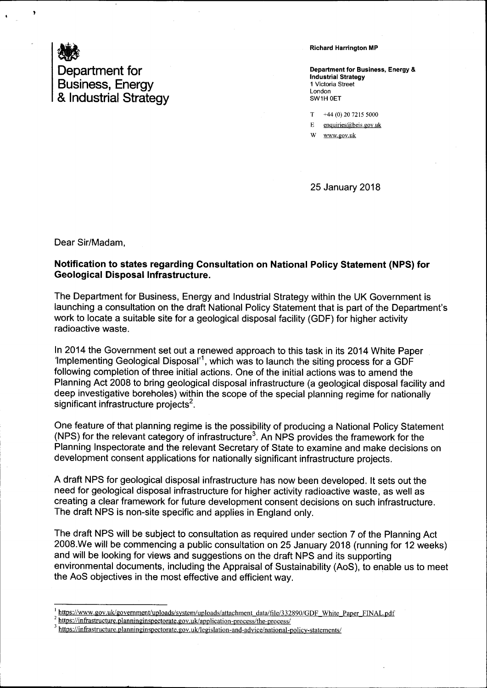

## Richard Harrington MP

Department for Business, Energy & Industrial Strategy 1 Victoria Street London SW1H OET

 $T +44 (0) 20 7215 5000$ 

 $E$  enquiries (a) beis.gov.uk

W www.gov.uk

25 January 2018

Dear Sir/Madam.

## Notification to states regarding Gonsultation on National Policy Statement (NPS) for Geological Disposal Infrastructure.

The Department for Business, Energy and Industrial Strategy within the UK Government is launching a consultation on the draft National Policy Statement that is part of the Department's work to locate a suitable site for a geological disposal facility (GDF) for higher activity radioactive waste.

ln 2014 the Government set out a renewed approach to this task in its 2014 White Paper 'lmplementing Geological Disposal'1, which was to launch the siting process for a GDF following completion of three initial actions. One of the initial actions was to amend the Planning Act 2008 to bring geological disposal infrastructure (a geological disposal facility and deep investigative boreholes) within the scope of the special planning regime for nationally significant infrastructure projects<sup>2</sup>.

One feature of that planning regime is the possibility of producing a National Policy Statement (NPS) for the relevant category of infrastructure<sup>3</sup>. An NPS provides the framework for the Planning Inspectorate and the relevant Secretary of State to examine and make decisions on development consent applications for nationally significant infrastructure projects,

A draft NPS for geological disposal infrastructure has now been developed, lt sets out the need for geological disposal infrastructure for higher activity radioactive waste, as well as creating a clear framework for future development consent decisions on such infrastructure. The draft NPS is non-site specific and applies in England only.

The draft NPS will be subject to consultation as required under section 7 of the Planning Act 2008.We will be commencing a public consultation on 25 January 2018 (running for 12 weeks) and will be looking for views and suggestions on the draft NPS and its supporting environmental documents, including the Appraisal of Sustainability (AoS), to enable us to meet the AoS objectives in the most effective and efficient way.

https://www.gov.uk/government/uploads/system/uploads/attachment\_data/file/332890/GDF\_White\_Paper\_FINAL.pdf<br>| https://infrastructure.planninginspectorate.gov.uk/application-process/the-process/

https://infrastructure.planninginspectorate.gov.uk/legislation-and-advice/national-policy-statements/